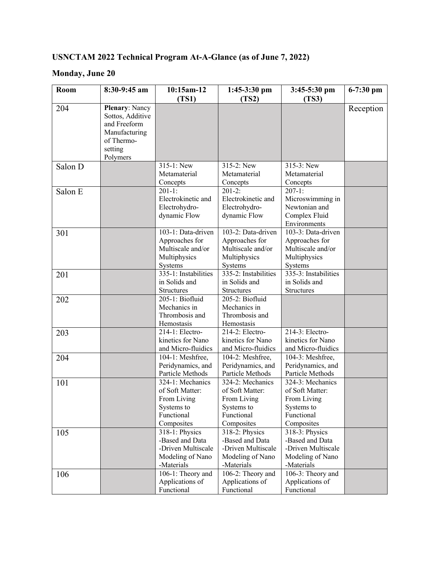# **USNCTAM 2022 Technical Program At-A-Glance (as of June 7, 2022)**

### **Monday, June 20**

| Room    | 8:30-9:45 am          | 10:15am-12                    | $1:45-3:30$ pm                | $3:45-5:30$ pm       | 6-7:30 pm |
|---------|-----------------------|-------------------------------|-------------------------------|----------------------|-----------|
|         |                       | (TS1)                         | (TS2)                         | (TS3)                |           |
| 204     | <b>Plenary: Nancy</b> |                               |                               |                      | Reception |
|         | Sottos, Additive      |                               |                               |                      |           |
|         | and Freeform          |                               |                               |                      |           |
|         | Manufacturing         |                               |                               |                      |           |
|         | of Thermo-            |                               |                               |                      |           |
|         | setting               |                               |                               |                      |           |
|         | Polymers              |                               |                               |                      |           |
| Salon D |                       | $315-1:$ New                  | 315-2: New                    | $315-3$ : New        |           |
|         |                       | Metamaterial                  | Metamaterial                  | Metamaterial         |           |
|         |                       | Concepts                      | Concepts                      | Concepts             |           |
| Salon E |                       | $201-1:$                      | $201-2:$                      | $207-1:$             |           |
|         |                       | Electrokinetic and            | Electrokinetic and            | Microswimming in     |           |
|         |                       | Electrohydro-                 | Electrohydro-                 | Newtonian and        |           |
|         |                       | dynamic Flow                  | dynamic Flow                  | Complex Fluid        |           |
|         |                       |                               |                               | Environments         |           |
| 301     |                       | 103-1: Data-driven            | 103-2: Data-driven            | 103-3: Data-driven   |           |
|         |                       | Approaches for                | Approaches for                | Approaches for       |           |
|         |                       | Multiscale and/or             | Multiscale and/or             | Multiscale and/or    |           |
|         |                       | Multiphysics                  | Multiphysics                  | Multiphysics         |           |
|         |                       | Systems                       | Systems                       | Systems              |           |
| 201     |                       | 335-1: Instabilities          | 335-2: Instabilities          | 335-3: Instabilities |           |
|         |                       | in Solids and                 | in Solids and                 | in Solids and        |           |
|         |                       | <b>Structures</b>             | <b>Structures</b>             | Structures           |           |
| 202     |                       | 205-1: Biofluid               | 205-2: Biofluid               |                      |           |
|         |                       | Mechanics in                  | Mechanics in                  |                      |           |
|         |                       | Thrombosis and                | Thrombosis and                |                      |           |
|         |                       | Hemostasis<br>214-1: Electro- | Hemostasis<br>214-2: Electro- | 214-3: Electro-      |           |
| 203     |                       | kinetics for Nano             | kinetics for Nano             | kinetics for Nano    |           |
|         |                       | and Micro-fluidics            | and Micro-fluidics            | and Micro-fluidics   |           |
| 204     |                       | 104-1: Meshfree,              | 104-2: Meshfree,              | 104-3: Meshfree,     |           |
|         |                       | Peridynamics, and             | Peridynamics, and             | Peridynamics, and    |           |
|         |                       | Particle Methods              | Particle Methods              | Particle Methods     |           |
| 101     |                       | 324-1: Mechanics              | 324-2: Mechanics              | 324-3: Mechanics     |           |
|         |                       | of Soft Matter:               | of Soft Matter:               | of Soft Matter:      |           |
|         |                       | From Living                   | From Living                   | From Living          |           |
|         |                       | Systems to                    | Systems to                    | Systems to           |           |
|         |                       | Functional                    | Functional                    | Functional           |           |
|         |                       | Composites                    | Composites                    | Composites           |           |
| 105     |                       | 318-1: Physics                | 318-2: Physics                | 318-3: Physics       |           |
|         |                       | -Based and Data               | -Based and Data               | -Based and Data      |           |
|         |                       | -Driven Multiscale            | -Driven Multiscale            | -Driven Multiscale   |           |
|         |                       | Modeling of Nano              | Modeling of Nano              | Modeling of Nano     |           |
|         |                       | -Materials                    | -Materials                    | -Materials           |           |
| 106     |                       | 106-1: Theory and             | 106-2: Theory and             | 106-3: Theory and    |           |
|         |                       | Applications of               | Applications of               | Applications of      |           |
|         |                       | Functional                    | Functional                    | Functional           |           |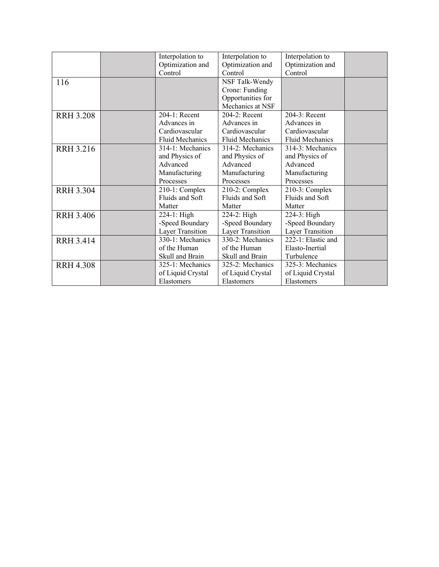|                  | Interpolation to       | Interpolation to       | Interpolation to       |  |
|------------------|------------------------|------------------------|------------------------|--|
|                  | Optimization and       | Optimization and       | Optimization and       |  |
|                  | Control                | Control                | Control                |  |
| 116              |                        | NSF Talk-Wendy         |                        |  |
|                  |                        | Crone: Funding         |                        |  |
|                  |                        | Opportunities for      |                        |  |
|                  |                        | Mechanics at NSF       |                        |  |
| <b>RRH 3.208</b> | $204-1:$ Recent        | $204-2$ : Recent       | $204-3$ : Recent       |  |
|                  | Advances in            | Advances in            | Advances in            |  |
|                  | Cardiovascular         | Cardiovascular         | Cardiovascular         |  |
|                  | <b>Fluid Mechanics</b> | <b>Fluid Mechanics</b> | <b>Fluid Mechanics</b> |  |
| <b>RRH 3.216</b> | 314-1: Mechanics       | 314-2: Mechanics       | 314-3: Mechanics       |  |
|                  | and Physics of         | and Physics of         | and Physics of         |  |
|                  | Advanced               | Advanced               | Advanced               |  |
|                  | Manufacturing          | Manufacturing          | Manufacturing          |  |
|                  | Processes              | Processes              | Processes              |  |
| <b>RRH 3.304</b> | 210-1: Complex         | 210-2: Complex         | 210-3: Complex         |  |
|                  | Fluids and Soft        | Fluids and Soft        | Fluids and Soft        |  |
|                  | Matter                 | Matter                 | Matter                 |  |
| <b>RRH 3.406</b> | 224-1: High            | 224-2: High            | 224-3: High            |  |
|                  | -Speed Boundary        | -Speed Boundary        | -Speed Boundary        |  |
|                  | Layer Transition       | Layer Transition       | Layer Transition       |  |
| <b>RRH 3.414</b> | 330-1: Mechanics       | 330-2: Mechanics       | 222-1: Elastic and     |  |
|                  | of the Human           | of the Human           | Elasto-Inertial        |  |
|                  | Skull and Brain        | Skull and Brain        | Turbulence             |  |
| <b>RRH 4.308</b> | 325-1: Mechanics       | 325-2: Mechanics       | 325-3: Mechanics       |  |
|                  | of Liquid Crystal      | of Liquid Crystal      | of Liquid Crystal      |  |
|                  | Elastomers             | Elastomers             | Elastomers             |  |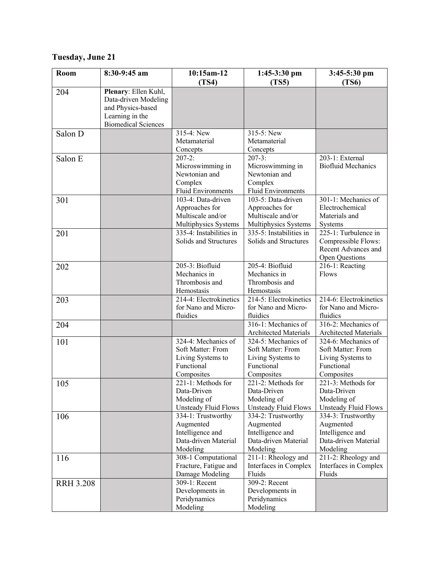## **Tuesday, June 21**

| Room             | 8:30-9:45 am                                                                                                       | 10:15am-12                                                                                | $1:45-3:30$ pm                                                                            | $3:45-5:30$ pm                                                                            |
|------------------|--------------------------------------------------------------------------------------------------------------------|-------------------------------------------------------------------------------------------|-------------------------------------------------------------------------------------------|-------------------------------------------------------------------------------------------|
|                  |                                                                                                                    | (TS4)                                                                                     | (TS5)                                                                                     | (TS6)                                                                                     |
| 204              | Plenary: Ellen Kuhl,<br>Data-driven Modeling<br>and Physics-based<br>Learning in the<br><b>Biomedical Sciences</b> |                                                                                           |                                                                                           |                                                                                           |
| Salon D          |                                                                                                                    | 315-4: New<br>Metamaterial<br>Concepts                                                    | 315-5: New<br>Metamaterial<br>Concepts                                                    |                                                                                           |
| Salon E          |                                                                                                                    | $207 - 2:$<br>Microswimming in<br>Newtonian and<br>Complex<br>Fluid Environments          | $207 - 3:$<br>Microswimming in<br>Newtonian and<br>Complex<br>Fluid Environments          | 203-1: External<br><b>Biofluid Mechanics</b>                                              |
| 301              |                                                                                                                    | 103-4: Data-driven<br>Approaches for<br>Multiscale and/or<br>Multiphysics Systems         | 103-5: Data-driven<br>Approaches for<br>Multiscale and/or<br>Multiphysics Systems         | 301-1: Mechanics of<br>Electrochemical<br>Materials and<br>Systems                        |
| 201              |                                                                                                                    | 335-4: Instabilities in<br>Solids and Structures                                          | 335-5: Instabilities in<br>Solids and Structures                                          | 225-1: Turbulence in<br>Compressible Flows:<br>Recent Advances and<br>Open Questions      |
| 202              |                                                                                                                    | 205-3: Biofluid<br>Mechanics in<br>Thrombosis and<br>Hemostasis                           | 205-4: Biofluid<br>Mechanics in<br>Thrombosis and<br>Hemostasis                           | 216-1: Reacting<br>Flows                                                                  |
| 203              |                                                                                                                    | 214-4: Electrokinetics<br>for Nano and Micro-<br>fluidics                                 | 214-5: Electrokinetics<br>for Nano and Micro-<br>fluidics                                 | 214-6: Electrokinetics<br>for Nano and Micro-<br>fluidics                                 |
| 204              |                                                                                                                    |                                                                                           | 316-1: Mechanics of<br>Architected Materials                                              | 316-2: Mechanics of<br><b>Architected Materials</b>                                       |
| 101              |                                                                                                                    | 324-4: Mechanics of<br>Soft Matter: From<br>Living Systems to<br>Functional<br>Composites | 324-5: Mechanics of<br>Soft Matter: From<br>Living Systems to<br>Functional<br>Composites | 324-6: Mechanics of<br>Soft Matter: From<br>Living Systems to<br>Functional<br>Composites |
| 105              |                                                                                                                    | 221-1: Methods for<br>Data-Driven<br>Modeling of<br>Unsteady Fluid Flows                  | 221-2: Methods for<br>Data-Driven<br>Modeling of<br>Unsteady Fluid Flows                  | 221-3: Methods for<br>Data-Driven<br>Modeling of<br>Unsteady Fluid Flows                  |
| 106              |                                                                                                                    | 334-1: Trustworthy<br>Augmented<br>Intelligence and<br>Data-driven Material<br>Modeling   | 334-2: Trustworthy<br>Augmented<br>Intelligence and<br>Data-driven Material<br>Modeling   | 334-3: Trustworthy<br>Augmented<br>Intelligence and<br>Data-driven Material<br>Modeling   |
| 116              |                                                                                                                    | 308-1 Computational<br>Fracture, Fatigue and<br>Damage Modeling                           | 211-1: Rheology and<br>Interfaces in Complex<br>Fluids                                    | 211-2: Rheology and<br>Interfaces in Complex<br>Fluids                                    |
| <b>RRH 3.208</b> |                                                                                                                    | 309-1: Recent<br>Developments in<br>Peridynamics<br>Modeling                              | 309-2: Recent<br>Developments in<br>Peridynamics<br>Modeling                              |                                                                                           |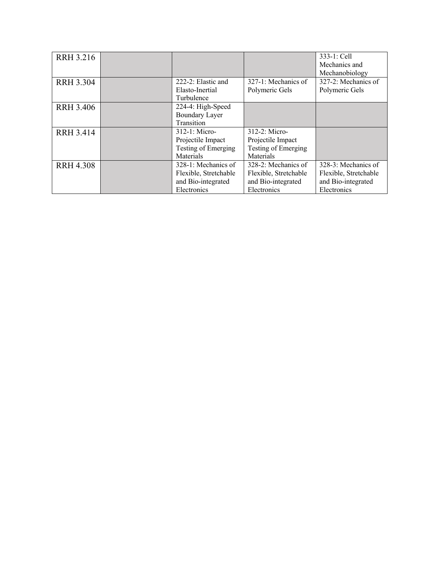| <b>RRH 3.216</b> |                       |                       | 333-1: Cell           |
|------------------|-----------------------|-----------------------|-----------------------|
|                  |                       |                       | Mechanics and         |
|                  |                       |                       | Mechanobiology        |
| <b>RRH 3.304</b> | 222-2: Elastic and    | 327-1: Mechanics of   | 327-2: Mechanics of   |
|                  | Elasto-Inertial       | Polymeric Gels        | Polymeric Gels        |
|                  | Turbulence            |                       |                       |
| <b>RRH 3.406</b> | 224-4: High-Speed     |                       |                       |
|                  | <b>Boundary Layer</b> |                       |                       |
|                  | Transition            |                       |                       |
| <b>RRH 3.414</b> | 312-1: Micro-         | 312-2: Micro-         |                       |
|                  | Projectile Impact     | Projectile Impact     |                       |
|                  | Testing of Emerging   | Testing of Emerging   |                       |
|                  | Materials             | Materials             |                       |
| <b>RRH 4.308</b> | 328-1: Mechanics of   | 328-2: Mechanics of   | 328-3: Mechanics of   |
|                  | Flexible, Stretchable | Flexible, Stretchable | Flexible, Stretchable |
|                  | and Bio-integrated    | and Bio-integrated    | and Bio-integrated    |
|                  | Electronics           | Electronics           | Electronics           |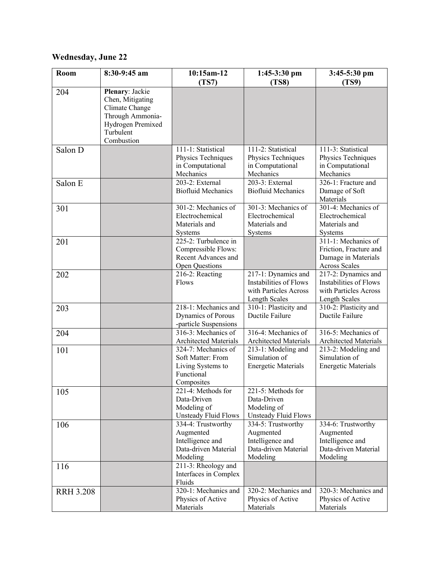## **Wednesday, June 22**

| Room             | 8:30-9:45 am                                                                                                | 10:15am-12<br>(TS7)                                                                       | $1:45-3:30$ pm<br>(TS8)                                                                 | 3:45-5:30 pm<br>(TS9)                                                                        |
|------------------|-------------------------------------------------------------------------------------------------------------|-------------------------------------------------------------------------------------------|-----------------------------------------------------------------------------------------|----------------------------------------------------------------------------------------------|
| 204              | Plenary: Jackie<br>Chen, Mitigating<br>Climate Change<br>Through Ammonia-<br>Hydrogen Premixed<br>Turbulent |                                                                                           |                                                                                         |                                                                                              |
|                  | Combustion                                                                                                  |                                                                                           |                                                                                         |                                                                                              |
| Salon D          |                                                                                                             | 111-1: Statistical<br>Physics Techniques<br>in Computational<br>Mechanics                 | 111-2: Statistical<br>Physics Techniques<br>in Computational<br>Mechanics               | 111-3: Statistical<br>Physics Techniques<br>in Computational<br>Mechanics                    |
| Salon E          |                                                                                                             | 203-2: External<br><b>Biofluid Mechanics</b>                                              | 203-3: External<br><b>Biofluid Mechanics</b>                                            | 326-1: Fracture and<br>Damage of Soft<br>Materials                                           |
| 301              |                                                                                                             | 301-2: Mechanics of<br>Electrochemical<br>Materials and<br>Systems                        | 301-3: Mechanics of<br>Electrochemical<br>Materials and<br>Systems                      | 301-4: Mechanics of<br>Electrochemical<br>Materials and<br>Systems                           |
| 201              |                                                                                                             | 225-2: Turbulence in<br>Compressible Flows:<br>Recent Advances and<br>Open Questions      |                                                                                         | 311-1: Mechanics of<br>Friction, Fracture and<br>Damage in Materials<br><b>Across Scales</b> |
| 202              |                                                                                                             | 216-2: Reacting<br>Flows                                                                  | 217-1: Dynamics and<br>Instabilities of Flows<br>with Particles Across<br>Length Scales | 217-2: Dynamics and<br>Instabilities of Flows<br>with Particles Across<br>Length Scales      |
| 203              |                                                                                                             | 218-1: Mechanics and<br>Dynamics of Porous<br>-particle Suspensions                       | 310-1: Plasticity and<br>Ductile Failure                                                | 310-2: Plasticity and<br>Ductile Failure                                                     |
| 204              |                                                                                                             | 316-3: Mechanics of<br><b>Architected Materials</b>                                       | 316-4: Mechanics of<br><b>Architected Materials</b>                                     | 316-5: Mechanics of<br><b>Architected Materials</b>                                          |
| 101              |                                                                                                             | 324-7: Mechanics of<br>Soft Matter: From<br>Living Systems to<br>Functional<br>Composites | 213-1: Modeling and<br>Simulation of<br><b>Energetic Materials</b>                      | 213-2: Modeling and<br>Simulation of<br><b>Energetic Materials</b>                           |
| 105              |                                                                                                             | 221-4: Methods for<br>Data-Driven<br>Modeling of<br>Unsteady Fluid Flows                  | 221-5: Methods for<br>Data-Driven<br>Modeling of<br>Unsteady Fluid Flows                |                                                                                              |
| 106              |                                                                                                             | 334-4: Trustworthy<br>Augmented<br>Intelligence and<br>Data-driven Material<br>Modeling   | 334-5: Trustworthy<br>Augmented<br>Intelligence and<br>Data-driven Material<br>Modeling | 334-6: Trustworthy<br>Augmented<br>Intelligence and<br>Data-driven Material<br>Modeling      |
| 116              |                                                                                                             | 211-3: Rheology and<br>Interfaces in Complex<br>Fluids                                    |                                                                                         |                                                                                              |
| <b>RRH 3.208</b> |                                                                                                             | 320-1: Mechanics and<br>Physics of Active<br>Materials                                    | 320-2: Mechanics and<br>Physics of Active<br>Materials                                  | 320-3: Mechanics and<br>Physics of Active<br>Materials                                       |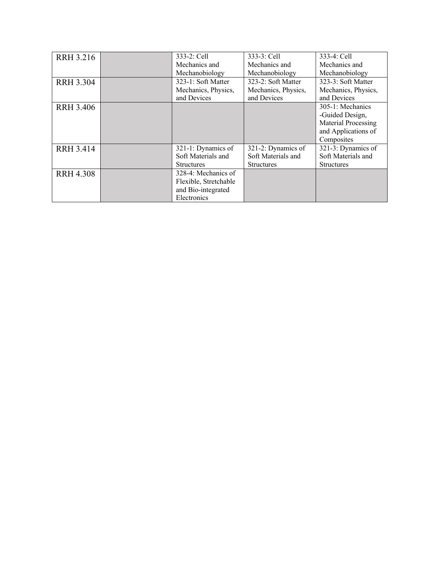| <b>RRH 3.216</b> | 333-2: Cell           | 333-3: Cell         | 333-4: Cell         |
|------------------|-----------------------|---------------------|---------------------|
|                  | Mechanics and         | Mechanics and       | Mechanics and       |
|                  | Mechanobiology        | Mechanobiology      | Mechanobiology      |
| <b>RRH 3.304</b> | 323-1: Soft Matter    | 323-2: Soft Matter  | 323-3: Soft Matter  |
|                  | Mechanics, Physics,   | Mechanics, Physics, | Mechanics, Physics, |
|                  | and Devices           | and Devices         | and Devices         |
| <b>RRH 3.406</b> |                       |                     | 305-1: Mechanics    |
|                  |                       |                     | -Guided Design,     |
|                  |                       |                     | Material Processing |
|                  |                       |                     | and Applications of |
|                  |                       |                     | Composites          |
| <b>RRH 3.414</b> | 321-1: Dynamics of    | 321-2: Dynamics of  | 321-3: Dynamics of  |
|                  | Soft Materials and    | Soft Materials and  | Soft Materials and  |
|                  | <b>Structures</b>     | <b>Structures</b>   | <b>Structures</b>   |
| <b>RRH 4.308</b> | 328-4: Mechanics of   |                     |                     |
|                  | Flexible, Stretchable |                     |                     |
|                  | and Bio-integrated    |                     |                     |
|                  | Electronics           |                     |                     |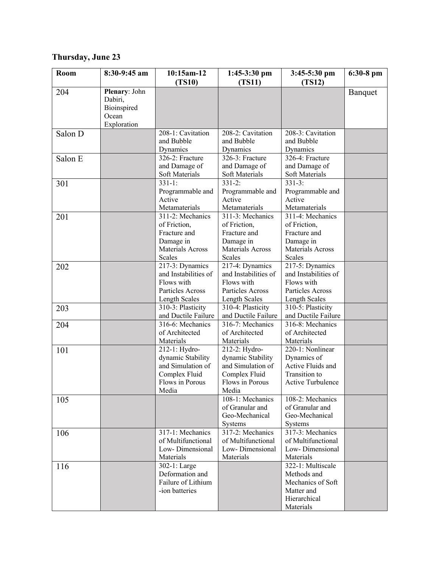## **Thursday, June 23**

| Room    | 8:30-9:45 am  | 10:15am-12                         | $1:45-3:30$ pm                     | $3:45-5:30$ pm                     | 6:30-8 pm |
|---------|---------------|------------------------------------|------------------------------------|------------------------------------|-----------|
|         |               | (TS10)                             | (TS11)                             | (TS12)                             |           |
| 204     | Plenary: John |                                    |                                    |                                    | Banquet   |
|         | Dabiri,       |                                    |                                    |                                    |           |
|         | Bioinspired   |                                    |                                    |                                    |           |
|         | Ocean         |                                    |                                    |                                    |           |
|         | Exploration   |                                    |                                    |                                    |           |
| Salon D |               | 208-1: Cavitation<br>and Bubble    | 208-2: Cavitation<br>and Bubble    | 208-3: Cavitation<br>and Bubble    |           |
|         |               | Dynamics                           | Dynamics                           | Dynamics                           |           |
| Salon E |               | 326-2: Fracture                    | 326-3: Fracture                    | 326-4: Fracture                    |           |
|         |               | and Damage of                      | and Damage of                      | and Damage of                      |           |
|         |               | Soft Materials                     | Soft Materials                     | Soft Materials                     |           |
| 301     |               | $331-1:$                           | $331 - 2:$                         | $331 - 3:$                         |           |
|         |               | Programmable and                   | Programmable and                   | Programmable and                   |           |
|         |               | Active                             | Active                             | Active                             |           |
|         |               | Metamaterials                      | Metamaterials                      | Metamaterials                      |           |
| 201     |               | 311-2: Mechanics                   | 311-3: Mechanics                   | 311-4: Mechanics                   |           |
|         |               | of Friction,                       | of Friction,                       | of Friction,                       |           |
|         |               | Fracture and                       | Fracture and                       | Fracture and                       |           |
|         |               | Damage in                          | Damage in                          | Damage in                          |           |
|         |               | <b>Materials Across</b>            | Materials Across                   | Materials Across                   |           |
|         |               | Scales                             | <b>Scales</b>                      | Scales                             |           |
| 202     |               | 217-3: Dynamics                    | 217-4: Dynamics                    | $217-5:$ Dynamics                  |           |
|         |               | and Instabilities of               | and Instabilities of               | and Instabilities of               |           |
|         |               | Flows with                         | Flows with                         | Flows with                         |           |
|         |               | Particles Across                   | Particles Across                   | Particles Across                   |           |
|         |               | Length Scales                      | Length Scales                      | Length Scales                      |           |
| 203     |               | 310-3: Plasticity                  | 310-4: Plasticity                  | 310-5: Plasticity                  |           |
|         |               | and Ductile Failure                | and Ductile Failure                | and Ductile Failure                |           |
| 204     |               | 316-6: Mechanics<br>of Architected | 316-7: Mechanics<br>of Architected | 316-8: Mechanics<br>of Architected |           |
|         |               | Materials                          | Materials                          | Materials                          |           |
| 101     |               | 212-1: Hydro-                      | 212-2: Hydro-                      | 220-1: Nonlinear                   |           |
|         |               | dynamic Stability                  | dynamic Stability                  | Dynamics of                        |           |
|         |               | and Simulation of                  | and Simulation of                  | Active Fluids and                  |           |
|         |               | Complex Fluid                      | Complex Fluid                      | Transition to                      |           |
|         |               | Flows in Porous                    | Flows in Porous                    | <b>Active Turbulence</b>           |           |
|         |               | Media                              | Media                              |                                    |           |
| 105     |               |                                    | 108-1: Mechanics                   | 108-2: Mechanics                   |           |
|         |               |                                    | of Granular and                    | of Granular and                    |           |
|         |               |                                    | Geo-Mechanical                     | Geo-Mechanical                     |           |
|         |               |                                    | Systems                            | Systems                            |           |
| 106     |               | 317-1: Mechanics                   | 317-2: Mechanics                   | $317-3$ : Mechanics                |           |
|         |               | of Multifunctional                 | of Multifunctional                 | of Multifunctional                 |           |
|         |               | Low-Dimensional                    | Low-Dimensional                    | Low-Dimensional                    |           |
|         |               | Materials                          | Materials                          | Materials                          |           |
| 116     |               | 302-1: Large                       |                                    | 322-1: Multiscale                  |           |
|         |               | Deformation and                    |                                    | Methods and                        |           |
|         |               | Failure of Lithium                 |                                    | Mechanics of Soft                  |           |
|         |               | -ion batteries                     |                                    | Matter and                         |           |
|         |               |                                    |                                    | Hierarchical                       |           |
|         |               |                                    |                                    | Materials                          |           |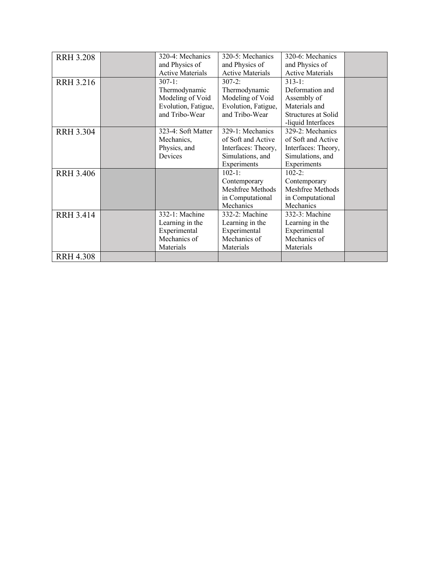| <b>RRH 3.208</b> | 320-4: Mechanics        | 320-5: Mechanics        | 320-6: Mechanics        |  |
|------------------|-------------------------|-------------------------|-------------------------|--|
|                  | and Physics of          | and Physics of          | and Physics of          |  |
|                  | <b>Active Materials</b> | <b>Active Materials</b> | <b>Active Materials</b> |  |
| <b>RRH 3.216</b> | $307-1:$                | $307 - 2:$              | $313 - 1:$              |  |
|                  | Thermodynamic           | Thermodynamic           | Deformation and         |  |
|                  | Modeling of Void        | Modeling of Void        | Assembly of             |  |
|                  | Evolution, Fatigue,     | Evolution, Fatigue,     | Materials and           |  |
|                  | and Tribo-Wear          | and Tribo-Wear          | Structures at Solid     |  |
|                  |                         |                         | -liquid Interfaces      |  |
| <b>RRH 3.304</b> | 323-4: Soft Matter      | 329-1: Mechanics        | 329-2: Mechanics        |  |
|                  | Mechanics,              | of Soft and Active      | of Soft and Active      |  |
|                  | Physics, and            | Interfaces: Theory,     | Interfaces: Theory,     |  |
|                  | Devices                 | Simulations, and        | Simulations, and        |  |
|                  |                         | Experiments             | Experiments             |  |
| <b>RRH 3.406</b> |                         | $102 - 1:$              | $102 - 2:$              |  |
|                  |                         | Contemporary            | Contemporary            |  |
|                  |                         | Meshfree Methods        | Meshfree Methods        |  |
|                  |                         | in Computational        | in Computational        |  |
|                  |                         | Mechanics               | Mechanics               |  |
| <b>RRH 3.414</b> | 332-1: Machine          | 332-2: Machine          | 332-3: Machine          |  |
|                  | Learning in the         | Learning in the         | Learning in the         |  |
|                  | Experimental            | Experimental            | Experimental            |  |
|                  | Mechanics of            | Mechanics of            | Mechanics of            |  |
|                  | Materials               | Materials               | Materials               |  |
| <b>RRH 4.308</b> |                         |                         |                         |  |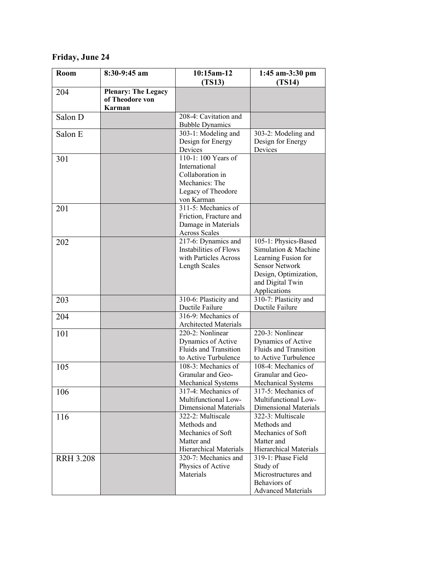## **Friday, June 24**

| Room             | 8:30-9:45 am                                                   | 10:15am-12<br>(TS13)                                                                                           | 1:45 am-3:30 pm<br>(TS14)                                                                                                                                 |
|------------------|----------------------------------------------------------------|----------------------------------------------------------------------------------------------------------------|-----------------------------------------------------------------------------------------------------------------------------------------------------------|
| 204              | <b>Plenary: The Legacy</b><br>of Theodore von<br><b>Karman</b> |                                                                                                                |                                                                                                                                                           |
| Salon D          |                                                                | 208-4: Cavitation and<br><b>Bubble Dynamics</b>                                                                |                                                                                                                                                           |
| Salon E          |                                                                | 303-1: Modeling and<br>Design for Energy<br>Devices                                                            | 303-2: Modeling and<br>Design for Energy<br>Devices                                                                                                       |
| 301              |                                                                | 110-1: 100 Years of<br>International<br>Collaboration in<br>Mechanics: The<br>Legacy of Theodore<br>von Karman |                                                                                                                                                           |
| 201              |                                                                | $311 - 5$ : Mechanics of<br>Friction, Fracture and<br>Damage in Materials<br><b>Across Scales</b>              |                                                                                                                                                           |
| 202              |                                                                | 217-6: Dynamics and<br>Instabilities of Flows<br>with Particles Across<br>Length Scales                        | 105-1: Physics-Based<br>Simulation & Machine<br>Learning Fusion for<br><b>Sensor Network</b><br>Design, Optimization,<br>and Digital Twin<br>Applications |
| 203              |                                                                | 310-6: Plasticity and<br>Ductile Failure                                                                       | 310-7: Plasticity and<br>Ductile Failure                                                                                                                  |
| 204              |                                                                | 316-9: Mechanics of<br><b>Architected Materials</b>                                                            |                                                                                                                                                           |
| 101              |                                                                | 220-2: Nonlinear<br>Dynamics of Active<br><b>Fluids and Transition</b><br>to Active Turbulence                 | 220-3: Nonlinear<br>Dynamics of Active<br>Fluids and Transition<br>to Active Turbulence                                                                   |
| 105              |                                                                | 108-3: Mechanics of<br>Granular and Geo-<br>Mechanical Systems                                                 | 108-4: Mechanics of<br>Granular and Geo-<br>Mechanical Systems                                                                                            |
| 106              |                                                                | 317-4: Mechanics of<br>Multifunctional Low-<br>Dimensional Materials                                           | 317-5: Mechanics of<br>Multifunctional Low-<br>Dimensional Materials                                                                                      |
| 116              |                                                                | 322-2: Multiscale<br>Methods and<br>Mechanics of Soft<br>Matter and<br>Hierarchical Materials                  | 322-3: Multiscale<br>Methods and<br>Mechanics of Soft<br>Matter and<br>Hierarchical Materials                                                             |
| <b>RRH 3.208</b> |                                                                | 320-7: Mechanics and<br>Physics of Active<br>Materials                                                         | 319-1: Phase Field<br>Study of<br>Microstructures and<br>Behaviors of<br><b>Advanced Materials</b>                                                        |